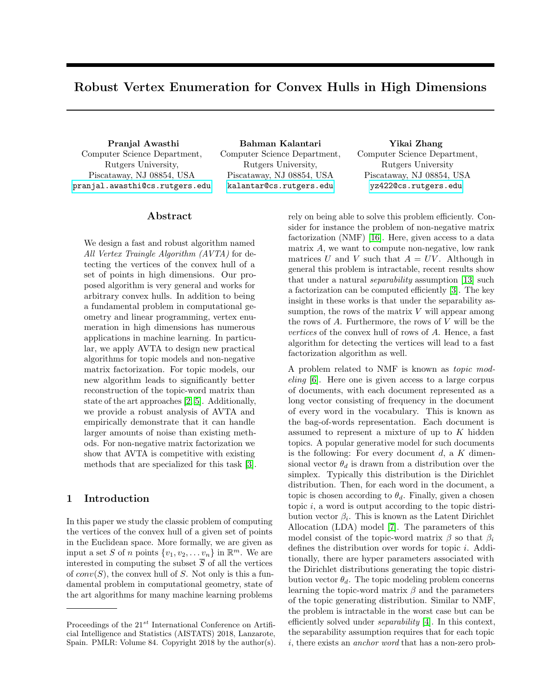# Robust Vertex Enumeration for Convex Hulls in High Dimensions

Computer Science Department, Rutgers University, Piscataway, NJ 08854, USA <pranjal.awasthi@cs.rutgers.edu>

Pranjal Awasthi Bahman Kalantari Yikai Zhang Computer Science Department, Rutgers University, Piscataway, NJ 08854, USA <kalantar@cs.rutgers.edu>

# Computer Science Department, Rutgers University Piscataway, NJ 08854, USA <yz422@cs.rutgers.edu>

#### Abstract

We design a fast and robust algorithm named All Vertex Traingle Algorithm (AVTA) for detecting the vertices of the convex hull of a set of points in high dimensions. Our proposed algorithm is very general and works for arbitrary convex hulls. In addition to being a fundamental problem in computational geometry and linear programming, vertex enumeration in high dimensions has numerous applications in machine learning. In particular, we apply AVTA to design new practical algorithms for topic models and non-negative matrix factorization. For topic models, our new algorithm leads to significantly better reconstruction of the topic-word matrix than state of the art approaches [\[2,](#page-8-0) [5\]](#page-8-1). Additionally, we provide a robust analysis of AVTA and empirically demonstrate that it can handle larger amounts of noise than existing methods. For non-negative matrix factorization we show that AVTA is competitive with existing methods that are specialized for this task [\[3\]](#page-8-2).

### 1 Introduction

In this paper we study the classic problem of computing the vertices of the convex hull of a given set of points in the Euclidean space. More formally, we are given as input a set S of n points  $\{v_1, v_2, \ldots v_n\}$  in  $\mathbb{R}^m$ . We are interested in computing the subset  $\overline{S}$  of all the vertices of  $conv(S)$ , the convex hull of S. Not only is this a fundamental problem in computational geometry, state of the art algorithms for many machine learning problems

rely on being able to solve this problem efficiently. Consider for instance the problem of non-negative matrix factorization (NMF) [\[16\]](#page-8-3). Here, given access to a data matrix A, we want to compute non-negative, low rank matrices U and V such that  $A = UV$ . Although in general this problem is intractable, recent results show that under a natural separability assumption [\[13\]](#page-8-4) such a factorization can be computed efficiently [\[3\]](#page-8-2). The key insight in these works is that under the separability assumption, the rows of the matrix  $V$  will appear among the rows of  $A$ . Furthermore, the rows of  $V$  will be the vertices of the convex hull of rows of A. Hence, a fast algorithm for detecting the vertices will lead to a fast factorization algorithm as well.

A problem related to NMF is known as topic modeling [\[6\]](#page-8-5). Here one is given access to a large corpus of documents, with each document represented as a long vector consisting of frequency in the document of every word in the vocabulary. This is known as the bag-of-words representation. Each document is assumed to represent a mixture of up to  $K$  hidden topics. A popular generative model for such documents is the following: For every document  $d$ , a  $K$  dimensional vector  $\theta_d$  is drawn from a distribution over the simplex. Typically this distribution is the Dirichlet distribution. Then, for each word in the document, a topic is chosen according to  $\theta_d$ . Finally, given a chosen topic  $i$ , a word is output according to the topic distribution vector  $\beta_i$ . This is known as the Latent Dirichlet Allocation (LDA) model [\[7\]](#page-8-6). The parameters of this model consist of the topic-word matrix  $\beta$  so that  $\beta_i$ defines the distribution over words for topic i. Additionally, there are hyper parameters associated with the Dirichlet distributions generating the topic distribution vector  $\theta_d$ . The topic modeling problem concerns learning the topic-word matrix  $\beta$  and the parameters of the topic generating distribution. Similar to NMF, the problem is intractable in the worst case but can be efficiently solved under separability [\[4\]](#page-8-7). In this context, the separability assumption requires that for each topic i, there exists an anchor word that has a non-zero prob-

Proceedings of the  $21^{st}$  International Conference on Artificial Intelligence and Statistics (AISTATS) 2018, Lanzarote, Spain. PMLR: Volume 84. Copyright 2018 by the author(s).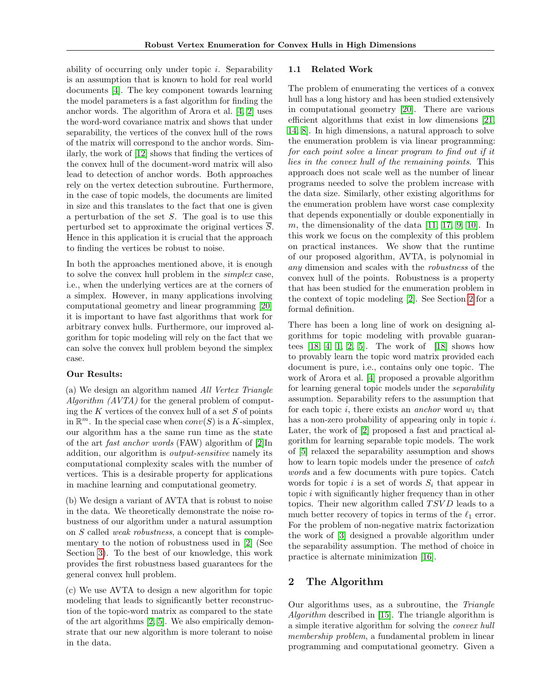ability of occurring only under topic i. Separability is an assumption that is known to hold for real world documents [\[4\]](#page-8-7). The key component towards learning the model parameters is a fast algorithm for finding the anchor words. The algorithm of Arora et al. [\[4,](#page-8-7) [2\]](#page-8-0) uses the word-word covariance matrix and shows that under separability, the vertices of the convex hull of the rows of the matrix will correspond to the anchor words. Similarly, the work of [\[12\]](#page-8-8) shows that finding the vertices of the convex hull of the document-word matrix will also lead to detection of anchor words. Both approaches rely on the vertex detection subroutine. Furthermore, in the case of topic models, the documents are limited in size and this translates to the fact that one is given a perturbation of the set  $S$ . The goal is to use this perturbed set to approximate the original vertices S. Hence in this application it is crucial that the approach to finding the vertices be robust to noise.

In both the approaches mentioned above, it is enough to solve the convex hull problem in the simplex case, i.e., when the underlying vertices are at the corners of a simplex. However, in many applications involving computational geometry and linear programming [\[20\]](#page-8-9) it is important to have fast algorithms that work for arbitrary convex hulls. Furthermore, our improved algorithm for topic modeling will rely on the fact that we can solve the convex hull problem beyond the simplex case.

#### Our Results:

(a) We design an algorithm named All Vertex Triangle Algorithm (AVTA) for the general problem of computing the  $K$  vertices of the convex hull of a set  $S$  of points in  $\mathbb{R}^m$ . In the special case when  $conv(S)$  is a K-simplex, our algorithm has a the same run time as the state of the art fast anchor words (FAW) algorithm of [\[2\]](#page-8-0)In addition, our algorithm is output-sensitive namely its computational complexity scales with the number of vertices. This is a desirable property for applications in machine learning and computational geometry.

(b) We design a variant of AVTA that is robust to noise in the data. We theoretically demonstrate the noise robustness of our algorithm under a natural assumption on S called weak robustness, a concept that is complementary to the notion of robustness used in [\[2\]](#page-8-0) (See Section [3\)](#page-3-0). To the best of our knowledge, this work provides the first robustness based guarantees for the general convex hull problem.

(c) We use AVTA to design a new algorithm for topic modeling that leads to significantly better reconstruction of the topic-word matrix as compared to the state of the art algorithms [\[2,](#page-8-0) [5\]](#page-8-1). We also empirically demonstrate that our new algorithm is more tolerant to noise in the data.

#### 1.1 Related Work

The problem of enumerating the vertices of a convex hull has a long history and has been studied extensively in computational geometry [\[20\]](#page-8-9). There are various efficient algorithms that exist in low dimensions [\[21,](#page-8-10) [14,](#page-8-11) [8\]](#page-8-12). In high dimensions, a natural approach to solve the enumeration problem is via linear programming: for each point solve a linear program to find out if it lies in the convex hull of the remaining points. This approach does not scale well as the number of linear programs needed to solve the problem increase with the data size. Similarly, other existing algorithms for the enumeration problem have worst case complexity that depends exponentially or double exponentially in m, the dimensionality of the data  $[11, 17, 9, 10]$  $[11, 17, 9, 10]$  $[11, 17, 9, 10]$  $[11, 17, 9, 10]$  $[11, 17, 9, 10]$  $[11, 17, 9, 10]$ . In this work we focus on the complexity of this problem on practical instances. We show that the runtime of our proposed algorithm, AVTA, is polynomial in any dimension and scales with the robustness of the convex hull of the points. Robustness is a property that has been studied for the enumeration problem in the context of topic modeling [\[2\]](#page-8-0). See Section [2](#page-1-0) for a formal definition.

There has been a long line of work on designing algorithms for topic modeling with provable guarantees  $[18, 4, 1, 2, 5]$  $[18, 4, 1, 2, 5]$  $[18, 4, 1, 2, 5]$  $[18, 4, 1, 2, 5]$  $[18, 4, 1, 2, 5]$  $[18, 4, 1, 2, 5]$  $[18, 4, 1, 2, 5]$  $[18, 4, 1, 2, 5]$ . The work of  $[18]$  shows how to provably learn the topic word matrix provided each document is pure, i.e., contains only one topic. The work of Arora et al. [\[4\]](#page-8-7) proposed a provable algorithm for learning general topic models under the separability assumption. Separability refers to the assumption that for each topic i, there exists an *anchor* word  $w_i$  that has a non-zero probability of appearing only in topic i. Later, the work of [\[2\]](#page-8-0) proposed a fast and practical algorithm for learning separable topic models. The work of [\[5\]](#page-8-1) relaxed the separability assumption and shows how to learn topic models under the presence of *catch* words and a few documents with pure topics. Catch words for topic i is a set of words  $S_i$  that appear in topic  $i$  with significantly higher frequency than in other topics. Their new algorithm called  $TSVD$  leads to a much better recovery of topics in terms of the  $\ell_1$  error. For the problem of non-negative matrix factorization the work of [\[3\]](#page-8-2) designed a provable algorithm under the separability assumption. The method of choice in practice is alternate minimization [\[16\]](#page-8-3).

# <span id="page-1-0"></span>2 The Algorithm

Our algorithms uses, as a subroutine, the Triangle Algorithm described in [\[15\]](#page-8-19). The triangle algorithm is a simple iterative algorithm for solving the convex hull membership problem, a fundamental problem in linear programming and computational geometry. Given a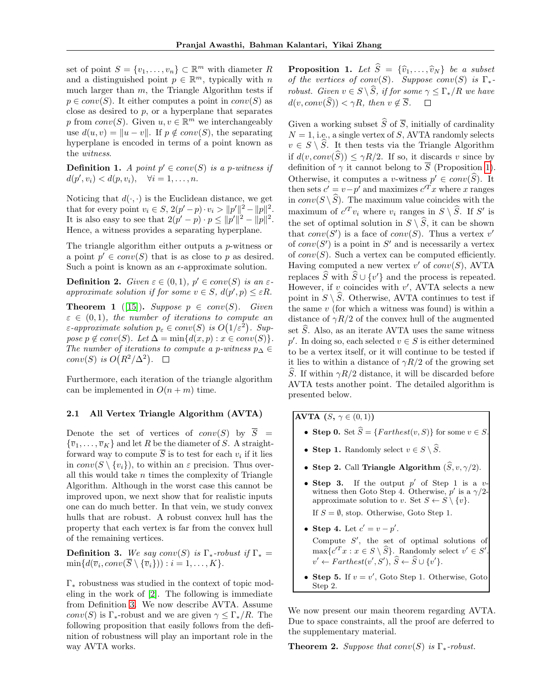set of point  $S = \{v_1, \ldots, v_n\} \subset \mathbb{R}^m$  with diameter R and a distinguished point  $p \in \mathbb{R}^m$ , typically with n much larger than  $m$ , the Triangle Algorithm tests if  $p \in conv(S)$ . It either computes a point in  $conv(S)$  as close as desired to  $p$ , or a hyperplane that separates p from  $conv(S)$ . Given  $u, v \in \mathbb{R}^m$  we interchangeably use  $d(u, v) = ||u - v||$ . If  $p \notin conv(S)$ , the separating hyperplane is encoded in terms of a point known as the witness.

**Definition 1.** A point  $p' \in conv(S)$  is a p-witness if  $d(p', v_i) < d(p, v_i), \quad \forall i = 1, \ldots, n.$ 

Noticing that  $d(\cdot, \cdot)$  is the Euclidean distance, we get that for every point  $v_i \in S$ ,  $2(p'-p) \cdot v_i > ||p'||^2 - ||p||^2$ . It is also easy to see that  $2(p' - p) \cdot p \le ||p'||^2 - ||p||^2$ . Hence, a witness provides a separating hyperplane.

The triangle algorithm either outputs a p-witness or a point  $p' \in conv(S)$  that is as close to p as desired. Such a point is known as an  $\epsilon$ -approximate solution.

**Definition 2.** Given  $\varepsilon \in (0,1)$ ,  $p' \in conv(S)$  is an  $\varepsilon$ approximate solution if for some  $v \in S$ ,  $d(p', p) \leq \varepsilon R$ .

**Theorem 1** ([\[15\]](#page-8-19)). Suppose  $p \in conv(S)$ . Given  $\varepsilon \in (0,1)$ , the number of iterations to compute an  $\varepsilon$ -approximate solution  $p_{\varepsilon} \in conv(S)$  is  $O(1/\varepsilon^2)$ . Suppose  $p \notin conv(S)$ . Let  $\Delta = \min\{d(x, p) : x \in conv(S)\}.$ The number of iterations to compute a p-witness  $p_{\Delta} \in$ conv(S) is  $O(R^2/\Delta^2)$ .

Furthermore, each iteration of the triangle algorithm can be implemented in  $O(n+m)$  time.

#### 2.1 All Vertex Triangle Algorithm (AVTA)

Denote the set of vertices of  $conv(S)$  by  $\overline{S}$  =  ${\overline{v}_1, \ldots, \overline{v}_K}$  and let R be the diameter of S. A straightforward way to compute  $S$  is to test for each  $v_i$  if it lies in  $conv(S \setminus \{v_i\})$ , to within an  $\varepsilon$  precision. Thus overall this would take  $n$  times the complexity of Triangle Algorithm. Although in the worst case this cannot be improved upon, we next show that for realistic inputs one can do much better. In that vein, we study convex hulls that are robust. A robust convex hull has the property that each vertex is far from the convex hull of the remaining vertices.

<span id="page-2-0"></span>**Definition 3.** We say conv(S) is  $\Gamma_*$ -robust if  $\Gamma_* =$  $\min\{d(\overline{v}_i, conv(S \setminus {\overline{v}_i}))) : i = 1, \ldots, K\}.$ 

Γ<sup>∗</sup> robustness was studied in the context of topic modeling in the work of [\[2\]](#page-8-0). The following is immediate from Definition [3.](#page-2-0) We now describe AVTA. Assume conv(S) is  $\Gamma_*$ -robust and we are given  $\gamma \leq \Gamma_*/R$ . The following proposition that easily follows from the definition of robustness will play an important role in the way AVTA works.

<span id="page-2-1"></span>**Proposition 1.** Let  $\widehat{S} = {\widehat{v}_1, \ldots, \widehat{v}_N}$  be a subset of the vertices of conv(S). Suppose conv(S) is  $\Gamma_*$ robust. Given  $v \in S \setminus \hat{S}$ , if for some  $\gamma \leq \Gamma^* / R$  we have  $d(v, conv(\widehat{S})) < \gamma R$ , then  $v \notin \overline{S}$ .  $\square$ 

Given a working subset  $\widehat{S}$  of  $\overline{S}$ , initially of cardinality  $N = 1$ , i.e., a single vertex of S, AVTA randomly selects  $v \in S \setminus \widehat{S}$ . It then tests via the Triangle Algorithm if  $d(v, conv(\widehat{S})) \leq \gamma R/2$ . If so, it discards v since by definition of  $\gamma$  it cannot belong to  $\overline{S}$  (Proposition [1\)](#page-2-1). Otherwise, it computes a v-witness  $p' \in conv(\widehat{S})$ . It then sets  $c' = v - p'$  and maximizes  $c'^T x$  where x ranges in  $conv(S \setminus \widehat{S})$ . The maximum value coincides with the maximum of  $c^T v_i$  where  $v_i$  ranges in  $S \setminus \widehat{S}$ . If  $S'$  is the set of optimal solution in  $S \setminus \widehat{S}$ , it can be shown that  $conv(S')$  is a face of  $conv(S)$ . Thus a vertex v' of  $conv(S')$  is a point in S' and is necessarily a vertex of  $conv(S)$ . Such a vertex can be computed efficiently. Having computed a new vertex  $v'$  of  $conv(S)$ , AVTA replaces  $\widehat{S}$  with  $\widehat{S} \cup \{v'\}$  and the process is repeated. However, if  $v$  coincides with  $v'$ , AVTA selects a new point in  $S \setminus S$ . Otherwise, AVTA continues to test if the same  $v$  (for which a witness was found) is within a distance of  $\gamma R/2$  of the convex hull of the augmented set  $\widehat{S}$ . Also, as an iterate AVTA uses the same witness p'. In doing so, each selected  $v \in S$  is either determined to be a vertex itself, or it will continue to be tested if it lies to within a distance of  $\gamma R/2$  of the growing set S. If within  $\gamma R/2$  distance, it will be discarded before AVTA tests another point. The detailed algorithm is presented below.

AVTA  $(S, \gamma \in (0,1))$ 

- Step 0. Set  $\widehat{S} = \{Farthest(v, S)\}\$ for some  $v \in S$ .
- Step 1. Randomly select  $v \in S \setminus \widehat{S}$ .
- Step 2. Call Triangle Algorithm  $(\widehat{S}, v, \gamma/2)$ .
- Step 3. If the output  $p'$  of Step 1 is a vwitness then Goto Step 4. Otherwise,  $p'$  is a  $\gamma/2$ approximate solution to v. Set  $S \leftarrow S \setminus \{v\}.$

If  $S = \emptyset$ , stop. Otherwise, Goto Step 1.

- Step 4. Let  $c' = v p'$ . Compute  $S'$ , the set of optimal solutions of  $\max\{c^T x : x \in S \setminus \widehat{S}\}\$ . Randomly select  $v' \in S'$ .  $v' \leftarrow \text{Farthest}(v', S'), \hat{S} \leftarrow \hat{S} \cup \{v'\}.$
- Step 5. If  $v = v'$ , Goto Step 1. Otherwise, Goto Step 2.

We now present our main theorem regarding AVTA. Due to space constraints, all the proof are deferred to the supplementary material.

<span id="page-2-2"></span>**Theorem 2.** Suppose that  $conv(S)$  is  $\Gamma_*$ -robust.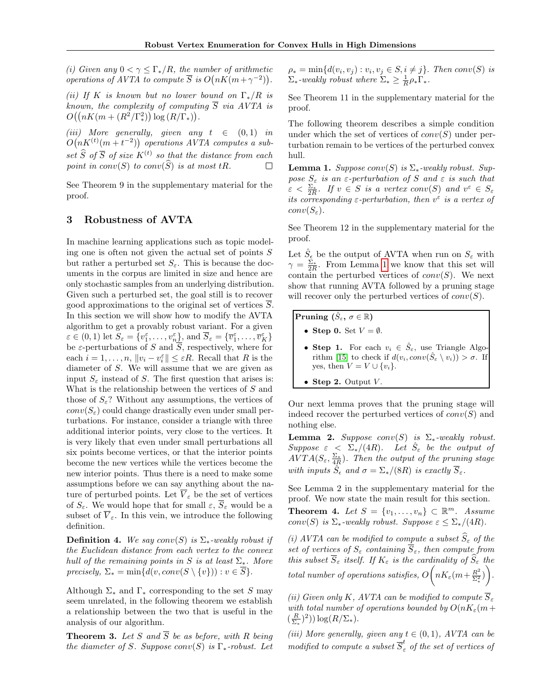(i) Given any  $0 < \gamma \leq \Gamma_* / R$ , the number of arithmetic *operations of AVTA to compute*  $\overline{S}$  *is*  $O(nK(m+\gamma^{-2}))$ .

(ii) If K is known but no lower bound on  $\Gamma_*/R$  is known, the complexity of computing  $\overline{S}$  via AVTA is  $O((nK(m + (R^2/\Gamma_*^2)) \log (R/\Gamma_*)).$ 

(iii) More generally, given any  $t \in (0,1)$  in  $O(nK^{(t)}(m+t^{-2}))$  operations AVTA computes a subset  $\widehat{S}$  of  $\overline{S}$  of size  $K^{(t)}$  so that the distance from each point in  $conv(S)$  to  $conv(\widehat{S})$  is at most tR.  $\Box$ 

See Theorem 9 in the supplementary material for the proof.

### <span id="page-3-0"></span>3 Robustness of AVTA

In machine learning applications such as topic modeling one is often not given the actual set of points S but rather a perturbed set  $S_{\varepsilon}$ . This is because the documents in the corpus are limited in size and hence are only stochastic samples from an underlying distribution. Given such a perturbed set, the goal still is to recover good approximations to the original set of vertices  $\overline{S}$ . In this section we will show how to modify the AVTA algorithm to get a provably robust variant. For a given  $\varepsilon \in (0, 1)$  let  $S_{\varepsilon} = \{v_1^{\varepsilon}, \ldots, v_n^{\varepsilon}\},$  and  $\overline{S}_{\varepsilon} = \{\overline{v}_1^{\varepsilon}, \ldots, \overline{v}_K^{\varepsilon}\}$ be  $\varepsilon$ -perturbations of S and  $\overline{S}$ , respectively, where for each  $i = 1, ..., n$ ,  $||v_i - v_i^{\varepsilon}|| \leq \varepsilon R$ . Recall that R is the diameter of S. We will assume that we are given as input  $S_{\varepsilon}$  instead of S. The first question that arises is: What is the relationship between the vertices of S and those of  $S_{\varepsilon}$ ? Without any assumptions, the vertices of  $conv(S_{\varepsilon})$  could change drastically even under small perturbations. For instance, consider a triangle with three additional interior points, very close to the vertices. It is very likely that even under small perturbations all six points become vertices, or that the interior points become the new vertices while the vertices become the new interior points. Thus there is a need to make some assumptions before we can say anything about the nature of perturbed points. Let  $\overline{V}_{\varepsilon}$  be the set of vertices of  $S_{\varepsilon}$ . We would hope that for small  $\varepsilon$ ,  $\overline{S}_{\varepsilon}$  would be a subset of  $\overline{V}_{\varepsilon}$ . In this vein, we introduce the following definition.

**Definition 4.** We say conv(S) is  $\Sigma_*$ -weakly robust if the Euclidean distance from each vertex to the convex hull of the remaining points in S is at least  $\Sigma_*$ . More precisely,  $\Sigma_* = \min\{d(v, conv(S \setminus \{v\})) : v \in \overline{S}\}.$ 

Although  $\Sigma_*$  and  $\Gamma_*$  corresponding to the set S may seem unrelated, in the following theorem we establish a relationship between the two that is useful in the analysis of our algorithm.

**Theorem 3.** Let S and  $\overline{S}$  be as before, with R being the diameter of S. Suppose conv $(S)$  is  $\Gamma_*$ -robust. Let  $\rho_* = \min\{d(v_i, v_j) : v_i, v_j \in S, i \neq j\}.$  Then conv(S) is  $\Sigma_*$ -weakly robust where  $\Sigma_* \geq \frac{1}{R} \rho_* \Gamma_*$ .

See Theorem 11 in the supplementary material for the proof.

The following theorem describes a simple condition under which the set of vertices of  $conv(S)$  under perturbation remain to be vertices of the perturbed convex hull.

<span id="page-3-1"></span>**Lemma 1.** Suppose conv(S) is  $\Sigma_*$ -weakly robust. Suppose  $S_{\varepsilon}$  is an  $\varepsilon$ -perturbation of S and  $\varepsilon$  is such that  $\varepsilon < \frac{\Sigma_*}{2R}$ . If  $v \in S$  is a vertex conv $(S)$  and  $v^{\varepsilon} \in S_{\varepsilon}$ its corresponding  $\varepsilon$ -perturbation, then  $v^{\varepsilon}$  is a vertex of  $conv(S_{\varepsilon}).$ 

See Theorem 12 in the supplementary material for the proof.

Let  $\hat{S}_{\epsilon}$  be the output of AVTA when run on  $S_{\varepsilon}$  with  $\gamma = \frac{\Sigma_{*}}{2R}$ . From Lemma [1](#page-3-1) we know that this set will contain the perturbed vertices of  $conv(S)$ . We next show that running AVTA followed by a pruning stage will recover only the perturbed vertices of  $conv(S)$ .

Pruning  $(\hat{S}_{\varepsilon}, \sigma \in \mathbb{R})$ 

- Step 0. Set  $V = \emptyset$ .
- Step 1. For each  $v_i \in \hat{S}_\varepsilon$ , use Triangle Algo-rithm [\[15\]](#page-8-19) to check if  $d(v_i, conv(\hat{S}_{\varepsilon} \setminus v_i)) > \sigma$ . If yes, then  $V = V \cup \{v_i\}$ .
- Step 2. Output  $V$ .

Our next lemma proves that the pruning stage will indeed recover the perturbed vertices of  $conv(S)$  and nothing else.

**Lemma 2.** Suppose conv $(S)$  is  $\Sigma_*$ -weakly robust. Suppose  $\varepsilon \leq \sum_{*}/(4R)$ . Let  $\hat{S}_{\varepsilon}$  be the output of  $AVTA(S_{\varepsilon}, \frac{\Sigma_{*}}{4R})$ . Then the output of the pruning stage with inputs  $\hat{S}_{\epsilon}$  and  $\sigma = \sum_*/(8R)$  is exactly  $\overline{S}_{\epsilon}$ .

See Lemma 2 in the supplementary material for the proof. We now state the main result for this section.

<span id="page-3-2"></span>**Theorem 4.** Let  $S = \{v_1, \ldots, v_n\} \subset \mathbb{R}^m$ . Assume conv(S) is  $\Sigma_*$ -weakly robust. Suppose  $\varepsilon \leq \Sigma_*/(4R)$ .

(i) AVTA can be modified to compute a subset  $\hat{S}_{\varepsilon}$  of the set of vertices of  $S_{\varepsilon}$  containing  $\overline{S}_{\varepsilon}$ , then compute from this subset  $\overline{S}_{\varepsilon}$  itself. If  $K_{\varepsilon}$  is the cardinality of  $S_{\varepsilon}$  the total number of operations satisfies,  $O\Big(nK_\varepsilon(m+\frac{R^2}{\Sigma^2})\Big)$  $\left(\frac{R^2}{\Sigma_*^2}\right)\bigg).$ 

(ii) Given only K, AVTA can be modified to compute  $\overline{S}_{\varepsilon}$ with total number of operations bounded by  $O(nK_{\epsilon}(m+$  $\left(\frac{R}{\Sigma_*}\right)^2)$ )  $\log(R/\Sigma_*)$ .

(iii) More generally, given any  $t \in (0,1)$ , AVTA can be modified to compute a subset  $\overline{S}_{\varepsilon}^{t}$  of the set of vertices of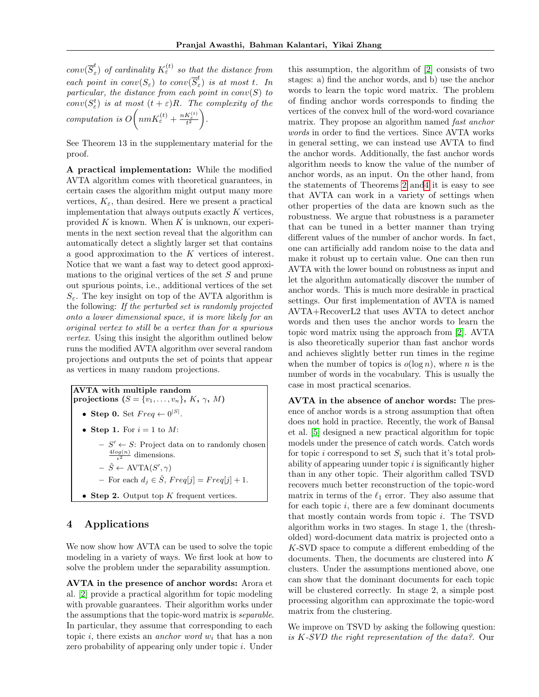$conv(\overline{S}_{\varepsilon}^t$  $\epsilon \choose \epsilon$ ) of cardinality  $K^{(t)}_\varepsilon$  so that the distance from each point in  $conv(S_{\varepsilon})$  to  $conv(\overline{S}_{\varepsilon}^t)$  $\binom{c}{\varepsilon}$  is at most t. In particular, the distance from each point in  $conv(S)$  to  $conv(S^t_{\varepsilon})$  is at most  $(t+\varepsilon)R$ . The complexity of the computation is  $O\left(n m K_{\varepsilon}^{(t)} + \frac{n K_{\varepsilon}^{(t)}}{t^2}\right)$ .

See Theorem 13 in the supplementary material for the proof.

A practical implementation: While the modified AVTA algorithm comes with theoretical guarantees, in certain cases the algorithm might output many more vertices,  $K_{\varepsilon}$ , than desired. Here we present a practical implementation that always outputs exactly  $K$  vertices, provided  $K$  is known. When  $K$  is unknown, our experiments in the next section reveal that the algorithm can automatically detect a slightly larger set that contains a good approximation to the  $K$  vertices of interest. Notice that we want a fast way to detect good approximations to the original vertices of the set  $S$  and prune out spurious points, i.e., additional vertices of the set  $S_{\varepsilon}$ . The key insight on top of the AVTA algorithm is the following: If the perturbed set is randomly projected onto a lower dimensional space, it is more likely for an original vertex to still be a vertex than for a spurious vertex. Using this insight the algorithm outlined below runs the modified AVTA algorithm over several random projections and outputs the set of points that appear as vertices in many random projections.

AVTA with multiple random projections  $(S = \{v_1, \ldots, v_n\}, K, \gamma, M)$ • Step 0. Set  $Freq \leftarrow 0^{|S|}$ . • Step 1. For  $i = 1$  to M:  $- S' \leftarrow S$ : Project data on to randomly chosen  $\frac{4log(n)}{\epsilon^2}$  dimensions.  $- \hat{S} \leftarrow \text{AVTA}(S', \gamma)$ – For each  $d_i \in \hat{S}$ ,  $Freq[j] = Freq[j] + 1$ . • Step 2. Output top  $K$  frequent vertices.

## 4 Applications

We now show how AVTA can be used to solve the topic modeling in a variety of ways. We first look at how to solve the problem under the separability assumption.

AVTA in the presence of anchor words: Arora et al. [\[2\]](#page-8-0) provide a practical algorithm for topic modeling with provable guarantees. Their algorithm works under the assumptions that the topic-word matrix is separable. In particular, they assume that corresponding to each topic i, there exists an *anchor word*  $w_i$  that has a non zero probability of appearing only under topic i. Under

this assumption, the algorithm of [\[2\]](#page-8-0) consists of two stages: a) find the anchor words, and b) use the anchor words to learn the topic word matrix. The problem of finding anchor words corresponds to finding the vertices of the convex hull of the word-word covariance matrix. They propose an algorithm named fast anchor words in order to find the vertices. Since AVTA works in general setting, we can instead use AVTA to find the anchor words. Additionally, the fast anchor words algorithm needs to know the value of the number of anchor words, as an input. On the other hand, from the statements of Theorems [2](#page-2-2) an[d4](#page-3-2) it is easy to see that AVTA can work in a variety of settings when other properties of the data are known such as the robustness. We argue that robustness is a parameter that can be tuned in a better manner than trying different values of the number of anchor words. In fact, one can artificially add random noise to the data and make it robust up to certain value. One can then run AVTA with the lower bound on robustness as input and let the algorithm automatically discover the number of anchor words. This is much more desirable in practical settings. Our first implementation of AVTA is named AVTA+RecoverL2 that uses AVTA to detect anchor words and then uses the anchor words to learn the topic word matrix using the approach from [\[2\]](#page-8-0). AVTA is also theoretically superior than fast anchor words and achieves slightly better run times in the regime when the number of topics is  $o(\log n)$ , where *n* is the number of words in the vocabulary. This is usually the case in most practical scenarios.

AVTA in the absence of anchor words: The presence of anchor words is a strong assumption that often does not hold in practice. Recently, the work of Bansal et al. [\[5\]](#page-8-1) designed a new practical algorithm for topic models under the presence of catch words. Catch words for topic i correspond to set  $S_i$  such that it's total probability of appearing uunder topic  $i$  is significantly higher than in any other topic. Their algorithm called TSVD recovers much better reconstruction of the topic-word matrix in terms of the  $\ell_1$  error. They also assume that for each topic i, there are a few dominant documents that mostly contain words from topic i. The TSVD algorithm works in two stages. In stage 1, the (thresholded) word-document data matrix is projected onto a K-SVD space to compute a different embedding of the documents. Then, the documents are clustered into K clusters. Under the assumptions mentioned above, one can show that the dominant documents for each topic will be clustered correctly. In stage 2, a simple post processing algorithm can approximate the topic-word matrix from the clustering.

We improve on TSVD by asking the following question: is K-SVD the right representation of the data?. Our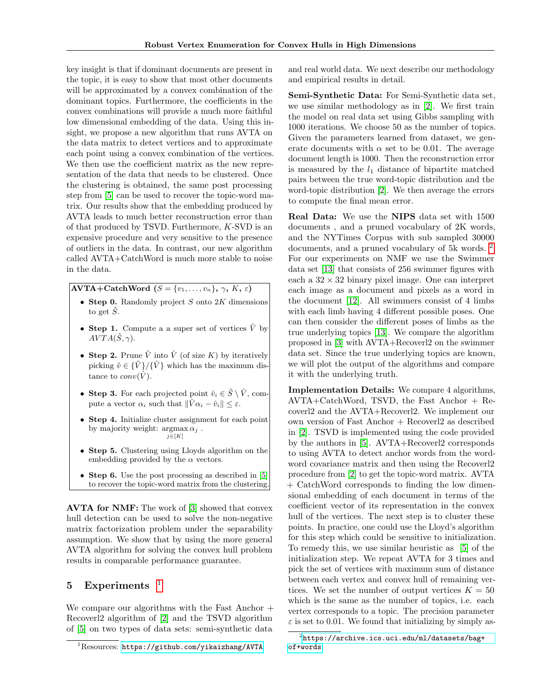key insight is that if dominant documents are present in the topic, it is easy to show that most other documents will be approximated by a convex combination of the dominant topics. Furthermore, the coefficients in the convex combinations will provide a much more faithful low dimensional embedding of the data. Using this insight, we propose a new algorithm that runs AVTA on the data matrix to detect vertices and to approximate each point using a convex combination of the vertices. We then use the coefficient matrix as the new representation of the data that needs to be clustered. Once the clustering is obtained, the same post processing step from [\[5\]](#page-8-1) can be used to recover the topic-word matrix. Our results show that the embedding produced by AVTA leads to much better reconstruction error than of that produced by TSVD. Furthermore, K-SVD is an expensive procedure and very sensitive to the presence of outliers in the data. In contrast, our new algorithm called AVTA+CatchWord is much more stable to noise in the data.

AVTA+CatchWord  $(S = \{v_1, \ldots, v_n\}, \gamma, K, \varepsilon)$ 

- Step 0. Randomly project  $S$  onto  $2K$  dimensions to get  $\tilde{S}$ .
- Step 1. Compute a a super set of vertices  $\tilde{V}$  by  $AYTA(\tilde{S}, \gamma)$ .
- Step 2. Prune  $\tilde{V}$  into  $\hat{V}$  (of size K) by iteratively picking  $\tilde{v} \in {\tilde{V}}/{\tilde{V}}$  which has the maximum distance to  $conv(\hat{V})$ .
- Step 3. For each projected point  $\hat{v}_i \in \tilde{S} \setminus \hat{V}$ , compute a vector  $\alpha_i$  such that  $\|\hat{V}\alpha_i - \hat{v}_i\| \leq \varepsilon$ .
- Step 4. Initialize cluster assignment for each point by majority weight:  $\argmax \alpha_j$ .  $j \in [K]$
- Step 5. Clustering using Lloyds algorithm on the embedding provided by the  $\alpha$  vectors.
- Step 6. Use the post processing as described in [\[5\]](#page-8-1) to recover the topic-word matrix from the clustering.

AVTA for NMF: The work of [\[3\]](#page-8-2) showed that convex hull detection can be used to solve the non-negative matrix factorization problem under the separability assumption. We show that by using the more general AVTA algorithm for solving the convex hull problem results in comparable performance guarantee.

## 5 Experiments  $1$

We compare our algorithms with the Fast Anchor  $+$ Recoverl2 algorithm of [\[2\]](#page-8-0) and the TSVD algorithm of [\[5\]](#page-8-1) on two types of data sets: semi-synthetic data

and real world data. We next describe our methodology and empirical results in detail.

Semi-Synthetic Data: For Semi-Synthetic data set, we use similar methodology as in [\[2\]](#page-8-0). We first train the model on real data set using Gibbs sampling with 1000 iterations. We choose 50 as the number of topics. Given the parameters learned from dataset, we generate documents with  $\alpha$  set to be 0.01. The average document length is 1000. Then the reconstruction error is measured by the  $l_1$  distance of bipartite matched pairs between the true word-topic distribution and the word-topic distribution [\[2\]](#page-8-0). We then average the errors to compute the final mean error.

Real Data: We use the NIPS data set with 1500 documents , and a pruned vocabulary of 2K words, and the NYTimes Corpus with sub sampled 30000 documents, and a pruned vocabulary of 5k words. <sup>[2](#page-5-1)</sup>. For our experiments on NMF we use the Swimmer data set [\[13\]](#page-8-4) that consists of 256 swimmer figures with each a  $32 \times 32$  binary pixel image. One can interpret each image as a document and pixels as a word in the document [\[12\]](#page-8-8). All swimmers consist of 4 limbs with each limb having 4 different possible poses. One can then consider the different poses of limbs as the true underlying topics [\[13\]](#page-8-4). We compare the algorithm proposed in [\[3\]](#page-8-2) with AVTA+Recoverl2 on the swimmer data set. Since the true underlying topics are known, we will plot the output of the algorithms and compare it with the underlying truth.

Implementation Details: We compare 4 algorithms, AVTA+CatchWord, TSVD, the Fast Anchor + Recoverl2 and the AVTA+Recoverl2. We implement our own version of Fast Anchor + Recoverl2 as described in [\[2\]](#page-8-0). TSVD is implemented using the code provided by the authors in [\[5\]](#page-8-1). AVTA+Recoverl2 corresponds to using AVTA to detect anchor words from the wordword covariance matrix and then using the Recoverl2 procedure from [\[2\]](#page-8-0) to get the topic-word matrix. AVTA + CatchWord corresponds to finding the low dimensional embedding of each document in terms of the coefficient vector of its representation in the convex hull of the vertices. The next step is to cluster these points. In practice, one could use the Lloyd's algorithm for this step which could be sensitive to initialization. To remedy this, we use similar heuristic as [\[5\]](#page-8-1) of the initialization step. We repeat AVTA for 3 times and pick the set of vertices with maximum sum of distance between each vertex and convex hull of remaining vertices. We set the number of output vertices  $K = 50$ which is the same as the number of topics, i.e. each vertex corresponds to a topic. The precision parameter  $\varepsilon$  is set to 0.01. We found that initializing by simply as-

<span id="page-5-0"></span><sup>1</sup>Resources: <https://github.com/yikaizhang/AVTA>

<span id="page-5-1"></span> $^{2}$ [https://archive.ics.uci.edu/ml/datasets/bag+](https://archive.ics.uci.edu/ml/datasets/bag+of+words) [of+words](https://archive.ics.uci.edu/ml/datasets/bag+of+words)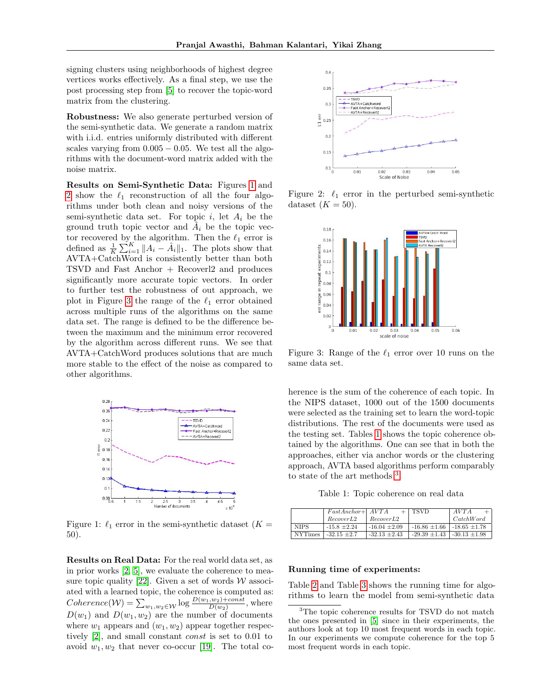signing clusters using neighborhoods of highest degree vertices works effectively. As a final step, we use the post processing step from [\[5\]](#page-8-1) to recover the topic-word matrix from the clustering.

Robustness: We also generate perturbed version of the semi-synthetic data. We generate a random matrix with i.i.d. entries uniformly distributed with different scales varying from  $0.005 - 0.05$ . We test all the algorithms with the document-word matrix added with the noise matrix.

Results on Semi-Synthetic Data: Figures [1](#page-6-0) and [2](#page-6-1) show the  $\ell_1$  reconstruction of all the four algorithms under both clean and noisy versions of the semi-synthetic data set. For topic  $i$ , let  $A_i$  be the ground truth topic vector and  $A_i$  be the topic vector recovered by the algorithm. Then the  $\ell_1$  error is defined as  $\frac{1}{K} \sum_{i=1}^{K} ||A_i - \hat{A}_i||_1$ . The plots show that AVTA+CatchWord is consistently better than both TSVD and Fast Anchor + Recoverl2 and produces significantly more accurate topic vectors. In order to further test the robustness of out approach, we plot in Figure [3](#page-6-2) the range of the  $\ell_1$  error obtained across multiple runs of the algorithms on the same data set. The range is defined to be the difference between the maximum and the minimum error recovered by the algorithm across different runs. We see that AVTA+CatchWord produces solutions that are much more stable to the effect of the noise as compared to other algorithms.

<span id="page-6-0"></span>

Figure 1:  $\ell_1$  error in the semi-synthetic dataset ( $K =$ 50).

Results on Real Data: For the real world data set, as in prior works [\[2,](#page-8-0) [5\]](#page-8-1), we evaluate the coherence to mea-sure topic quality [\[22\]](#page-8-20). Given a set of words  $W$  associated with a learned topic, the coherence is computed as:  $Coherence(\mathcal{W}) = \sum_{w_1, w_2 \in \mathcal{W}} \log \frac{D(w_1, w_2) + const}{D(w_2)}$ , where  $D(w_1)$  and  $D(w_1, w_2)$  are the number of documents where  $w_1$  appears and  $(w_1, w_2)$  appear together respectively [\[2\]](#page-8-0), and small constant const is set to 0.01 to avoid  $w_1, w_2$  that never co-occur [\[19\]](#page-8-21). The total co-

<span id="page-6-1"></span>

Figure 2:  $\ell_1$  error in the perturbed semi-synthetic dataset  $(K = 50)$ .

<span id="page-6-2"></span>

Figure 3: Range of the  $\ell_1$  error over 10 runs on the same data set.

herence is the sum of the coherence of each topic. In the NIPS dataset, 1000 out of the 1500 documents were selected as the training set to learn the word-topic distributions. The rest of the documents were used as the testing set. Tables [1](#page-6-3) shows the topic coherence obtained by the algorithms. One can see that in both the approaches, either via anchor words or the clustering approach, AVTA based algorithms perform comparably to state of the art methods [3](#page-6-4) .

Table 1: Topic coherence on real data

<span id="page-6-3"></span>

|                | $FastAnother+ AVTA$ |                   | <b>TSVD</b>       | AVTA               |
|----------------|---------------------|-------------------|-------------------|--------------------|
|                | RecoverL2           | RecoverL2         |                   | $\emph{CatchWord}$ |
| <b>NIPS</b>    | $-15.8 + 2.24$      | $-16.04 + 2.09$   | $-16.86 \pm 1.66$ | $-18.65 \pm 1.78$  |
| <b>NYTimes</b> | $-32.15 + 2.7$      | $-32.13 \pm 2.43$ | $-29.39 \pm 1.43$ | $-30.13 \pm 1.98$  |

#### Running time of experiments:

Table [2](#page-7-0) and Table [3](#page-7-1) shows the running time for algorithms to learn the model from semi-synthetic data

<span id="page-6-4"></span><sup>&</sup>lt;sup>3</sup>The topic coherence results for TSVD do not match the ones presented in [\[5\]](#page-8-1) since in their experiments, the authors look at top 10 most frequent words in each topic. In our experiments we compute coherence for the top 5 most frequent words in each topic.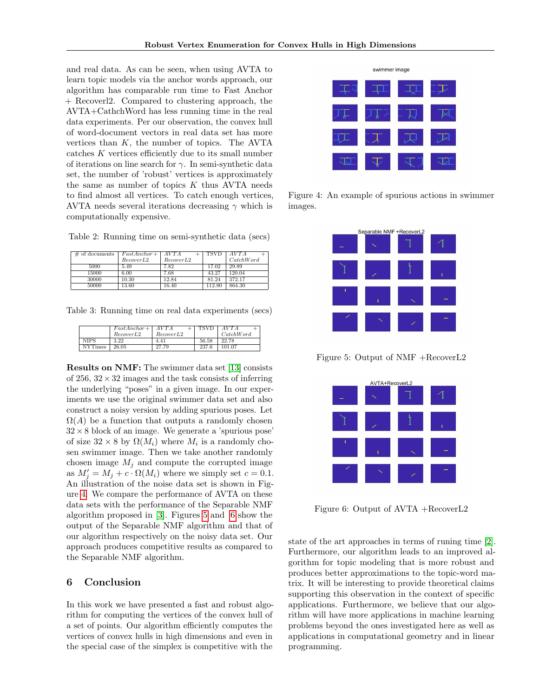and real data. As can be seen, when using AVTA to learn topic models via the anchor words approach, our algorithm has comparable run time to Fast Anchor + Recoverl2. Compared to clustering approach, the AVTA+CathchWord has less running time in the real data experiments. Per our observation, the convex hull of word-document vectors in real data set has more vertices than K, the number of topics. The AVTA catches  $K$  vertices efficiently due to its small number of iterations on line search for  $\gamma$ . In semi-synthetic data set, the number of 'robust' vertices is approximately the same as number of topics  $K$  thus AVTA needs to find almost all vertices. To catch enough vertices, AVTA needs several iterations decreasing  $\gamma$  which is computationally expensive.

<span id="page-7-0"></span>Table 2: Running time on semi-synthetic data (secs)

| # of documents | $FastAnother +$ | AVTA              | TSVD   | AVTA               |
|----------------|-----------------|-------------------|--------|--------------------|
|                | RecoverL2       | RecoverL2         |        | $\emph{CatchWord}$ |
| 5000           | 5.49            | $7.\overline{82}$ | 17.02  | 29.89              |
| 15000          | 6.00            | 7.68              | 43.27  | 120.04             |
| 30000          | 10.30           | 12.84             | 81.24  | 372.17             |
| 50000          | 13.60           | 16.40             | 112.80 | 864.30             |

<span id="page-7-1"></span>Table 3: Running time on real data experiments (secs)

|                | $FastAnother +$<br>RecoverL2 | AVTA<br>RecoverL2 | TSVD  | AVTA<br>$\emph{CatchWord}$ |
|----------------|------------------------------|-------------------|-------|----------------------------|
| <b>NIPS</b>    | 3.22                         | 4.41              | 56.58 | 22.78                      |
| <b>NYTimes</b> | 26.05                        | 27.79             | 237.6 | 101.07                     |

Results on NMF: The swimmer data set [\[13\]](#page-8-4) consists of  $256$ ,  $32 \times 32$  images and the task consists of inferring the underlying "poses" in a given image. In our experiments we use the original swimmer data set and also construct a noisy version by adding spurious poses. Let  $\Omega(A)$  be a function that outputs a randomly chosen  $32 \times 8$  block of an image. We generate a 'spurious pose' of size  $32 \times 8$  by  $\Omega(M_i)$  where  $M_i$  is a randomly chosen swimmer image. Then we take another randomly chosen image  $M_j$  and compute the corrupted image as  $M'_j = M_j + c \cdot \Omega(M_i)$  where we simply set  $c = 0.1$ . An illustration of the noise data set is shown in Figure [4.](#page-7-2) We compare the performance of AVTA on these data sets with the performance of the Separable NMF algorithm proposed in [\[3\]](#page-8-2). Figures [5](#page-7-3) and [6](#page-7-4) show the output of the Separable NMF algorithm and that of our algorithm respectively on the noisy data set. Our approach produces competitive results as compared to the Separable NMF algorithm.

#### 6 Conclusion

In this work we have presented a fast and robust algorithm for computing the vertices of the convex hull of a set of points. Our algorithm efficiently computes the vertices of convex hulls in high dimensions and even in the special case of the simplex is competitive with the

<span id="page-7-2"></span>

<span id="page-7-3"></span>Figure 4: An example of spurious actions in swimmer images.

| Separable NMF +RecoverL2 |  |  |   |  |
|--------------------------|--|--|---|--|
|                          |  |  |   |  |
|                          |  |  | ı |  |
|                          |  |  |   |  |
|                          |  |  |   |  |

<span id="page-7-4"></span>Figure 5: Output of NMF +RecoverL2

| AVTA+RecoverL2 |  |  |  |  |
|----------------|--|--|--|--|
|                |  |  |  |  |
|                |  |  |  |  |
|                |  |  |  |  |
|                |  |  |  |  |

Figure 6: Output of AVTA +RecoverL2

state of the art approaches in terms of runing time [\[2\]](#page-8-0). Furthermore, our algorithm leads to an improved algorithm for topic modeling that is more robust and produces better approximations to the topic-word matrix. It will be interesting to provide theoretical claims supporting this observation in the context of specific applications. Furthermore, we believe that our algorithm will have more applications in machine learning problems beyond the ones investigated here as well as applications in computational geometry and in linear programming.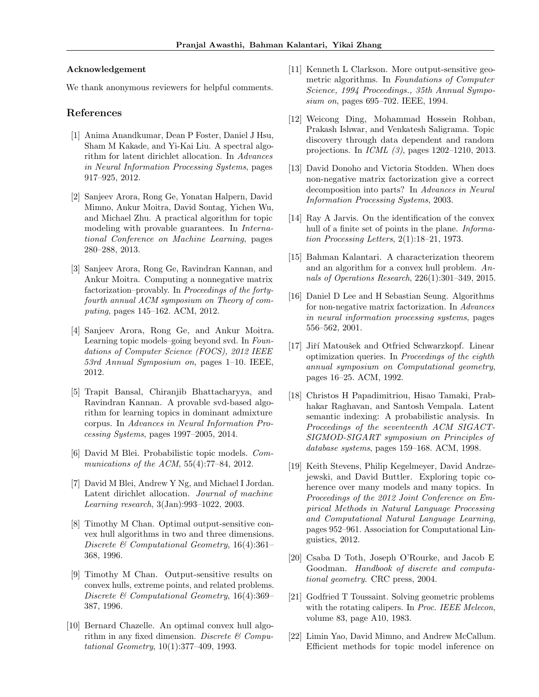#### Acknowledgement

We thank anonymous reviewers for helpful comments.

#### References

- <span id="page-8-18"></span>[1] Anima Anandkumar, Dean P Foster, Daniel J Hsu, Sham M Kakade, and Yi-Kai Liu. A spectral algorithm for latent dirichlet allocation. In Advances in Neural Information Processing Systems, pages 917–925, 2012.
- <span id="page-8-0"></span>[2] Sanjeev Arora, Rong Ge, Yonatan Halpern, David Mimno, Ankur Moitra, David Sontag, Yichen Wu, and Michael Zhu. A practical algorithm for topic modeling with provable guarantees. In International Conference on Machine Learning, pages 280–288, 2013.
- <span id="page-8-2"></span>[3] Sanjeev Arora, Rong Ge, Ravindran Kannan, and Ankur Moitra. Computing a nonnegative matrix factorization–provably. In Proceedings of the fortyfourth annual ACM symposium on Theory of computing, pages 145–162. ACM, 2012.
- <span id="page-8-7"></span>[4] Sanjeev Arora, Rong Ge, and Ankur Moitra. Learning topic models–going beyond svd. In Foundations of Computer Science (FOCS), 2012 IEEE 53rd Annual Symposium on, pages 1–10. IEEE, 2012.
- <span id="page-8-1"></span>[5] Trapit Bansal, Chiranjib Bhattacharyya, and Ravindran Kannan. A provable svd-based algorithm for learning topics in dominant admixture corpus. In Advances in Neural Information Processing Systems, pages 1997–2005, 2014.
- <span id="page-8-5"></span>[6] David M Blei. Probabilistic topic models. Communications of the ACM, 55(4):77–84, 2012.
- <span id="page-8-6"></span>[7] David M Blei, Andrew Y Ng, and Michael I Jordan. Latent dirichlet allocation. Journal of machine Learning research, 3(Jan):993–1022, 2003.
- <span id="page-8-12"></span>[8] Timothy M Chan. Optimal output-sensitive convex hull algorithms in two and three dimensions. Discrete & Computational Geometry, 16(4):361– 368, 1996.
- <span id="page-8-15"></span>[9] Timothy M Chan. Output-sensitive results on convex hulls, extreme points, and related problems. Discrete & Computational Geometry, 16(4):369– 387, 1996.
- <span id="page-8-16"></span>[10] Bernard Chazelle. An optimal convex hull algorithm in any fixed dimension. Discrete  $\mathcal C$  Computational Geometry, 10(1):377–409, 1993.
- <span id="page-8-13"></span>[11] Kenneth L Clarkson. More output-sensitive geometric algorithms. In Foundations of Computer Science, 1994 Proceedings., 35th Annual Symposium on, pages 695–702. IEEE, 1994.
- <span id="page-8-8"></span>[12] Weicong Ding, Mohammad Hossein Rohban, Prakash Ishwar, and Venkatesh Saligrama. Topic discovery through data dependent and random projections. In ICML (3), pages 1202–1210, 2013.
- <span id="page-8-4"></span>[13] David Donoho and Victoria Stodden. When does non-negative matrix factorization give a correct decomposition into parts? In Advances in Neural Information Processing Systems, 2003.
- <span id="page-8-11"></span>[14] Ray A Jarvis. On the identification of the convex hull of a finite set of points in the plane. *Informa*tion Processing Letters, 2(1):18–21, 1973.
- <span id="page-8-19"></span>[15] Bahman Kalantari. A characterization theorem and an algorithm for a convex hull problem. Annals of Operations Research, 226(1):301–349, 2015.
- <span id="page-8-3"></span>[16] Daniel D Lee and H Sebastian Seung. Algorithms for non-negative matrix factorization. In Advances in neural information processing systems, pages 556–562, 2001.
- <span id="page-8-14"></span>[17] Jiří Matoušek and Otfried Schwarzkopf. Linear optimization queries. In Proceedings of the eighth annual symposium on Computational geometry, pages 16–25. ACM, 1992.
- <span id="page-8-17"></span>[18] Christos H Papadimitriou, Hisao Tamaki, Prabhakar Raghavan, and Santosh Vempala. Latent semantic indexing: A probabilistic analysis. In Proceedings of the seventeenth ACM SIGACT-SIGMOD-SIGART symposium on Principles of database systems, pages 159–168. ACM, 1998.
- <span id="page-8-21"></span>[19] Keith Stevens, Philip Kegelmeyer, David Andrzejewski, and David Buttler. Exploring topic coherence over many models and many topics. In Proceedings of the 2012 Joint Conference on Empirical Methods in Natural Language Processing and Computational Natural Language Learning, pages 952–961. Association for Computational Linguistics, 2012.
- <span id="page-8-9"></span>[20] Csaba D Toth, Joseph O'Rourke, and Jacob E Goodman. Handbook of discrete and computational geometry. CRC press, 2004.
- <span id="page-8-10"></span>[21] Godfried T Toussaint. Solving geometric problems with the rotating calipers. In *Proc. IEEE Melecon*, volume 83, page A10, 1983.
- <span id="page-8-20"></span>[22] Limin Yao, David Mimno, and Andrew McCallum. Efficient methods for topic model inference on